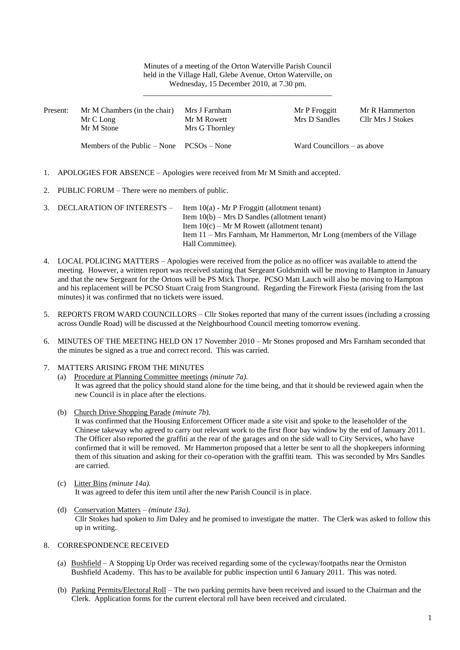### Minutes of a meeting of the Orton Waterville Parish Council held in the Village Hall, Glebe Avenue, Orton Waterville, on Wednesday, 15 December 2010, at 7.30 pm.

\_\_\_\_\_\_\_\_\_\_\_\_\_\_\_\_\_\_\_\_\_\_\_\_\_\_\_\_\_\_\_\_\_\_\_\_\_\_\_\_\_\_\_\_\_\_\_\_\_

| Present: | Mr M Chambers (in the chair)<br>Mr C Long<br>Mr M Stone | Mrs J Farnham<br>Mr M Rowett<br>Mrs G Thornley | Mr P Froggitt<br>Mrs D Sandles | Mr R Hammerton<br>Cllr Mrs J Stokes |
|----------|---------------------------------------------------------|------------------------------------------------|--------------------------------|-------------------------------------|
|          | Members of the Public $-$ None $PCSOs - None$           |                                                | Ward Councillors $-$ as above  |                                     |

- 1. APOLOGIES FOR ABSENCE Apologies were received from Mr M Smith and accepted.
- 2. PUBLIC FORUM There were no members of public.

| 3. DECLARATION OF INTERESTS – | Item $10(a)$ - Mr P Froggitt (allotment tenant)                      |
|-------------------------------|----------------------------------------------------------------------|
|                               | Item $10(b)$ – Mrs D Sandles (allotment tenant)                      |
|                               | Item $10(c)$ – Mr M Rowett (allotment tenant)                        |
|                               | Item 11 – Mrs Farnham, Mr Hammerton, Mr Long (members of the Village |
|                               | Hall Committee).                                                     |

- 4. LOCAL POLICING MATTERS Apologies were received from the police as no officer was available to attend the meeting. However, a written report was received stating that Sergeant Goldsmith will be moving to Hampton in January and that the new Sergeant for the Ortons will be PS Mick Thorpe. PCSO Matt Lauch will also be moving to Hampton and his replacement will be PCSO Stuart Craig from Stanground. Regarding the Firework Fiesta (arising from the last minutes) it was confirmed that no tickets were issued.
- 5. REPORTS FROM WARD COUNCILLORS Cllr Stokes reported that many of the current issues (including a crossing across Oundle Road) will be discussed at the Neighbourhood Council meeting tomorrow evening.
- 6. MINUTES OF THE MEETING HELD ON 17 November 2010 Mr Stones proposed and Mrs Farnham seconded that the minutes be signed as a true and correct record. This was carried.
- 7. MATTERS ARISING FROM THE MINUTES

- (b) Church Drive Shopping Parade *(minute 7b).* It was confirmed that the Housing Enforcement Officer made a site visit and spoke to the leaseholder of the Chinese takeway who agreed to carry out relevant work to the first floor bay window by the end of January 2011. The Officer also reported the graffiti at the rear of the garages and on the side wall to City Services, who have confirmed that it will be removed. Mr Hammerton proposed that a letter be sent to all the shopkeepers informing them of this situation and asking for their co-operation with the graffiti team. This was seconded by Mrs Sandles are carried.
- (c) Litter Bins *(minute 14a).* It was agreed to defer this item until after the new Parish Council is in place.
- (d) Conservation Matters *(minute 13a).* Cllr Stokes had spoken to Jim Daley and he promised to investigate the matter. The Clerk was asked to follow this up in writing.

## 8. CORRESPONDENCE RECEIVED

- (a) Bushfield A Stopping Up Order was received regarding some of the cycleway/footpaths near the Ormiston Bushfield Academy. This has to be available for public inspection until 6 January 2011. This was noted.
- (b) Parking Permits/Electoral Roll The two parking permits have been received and issued to the Chairman and the Clerk. Application forms for the current electoral roll have been received and circulated.

<sup>(</sup>a) Procedure at Planning Committee meetings *(minute 7a).* It was agreed that the policy should stand alone for the time being, and that it should be reviewed again when the new Council is in place after the elections.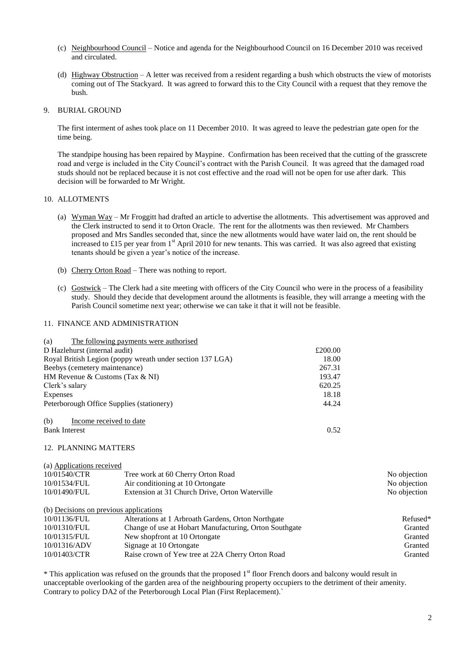- (c) Neighbourhood Council Notice and agenda for the Neighbourhood Council on 16 December 2010 was received and circulated.
- (d) Highway Obstruction A letter was received from a resident regarding a bush which obstructs the view of motorists coming out of The Stackyard. It was agreed to forward this to the City Council with a request that they remove the bush.

#### 9. BURIAL GROUND

The first interment of ashes took place on 11 December 2010. It was agreed to leave the pedestrian gate open for the time being.

The standpipe housing has been repaired by Maypine. Confirmation has been received that the cutting of the grasscrete road and verge is included in the City Council's contract with the Parish Council. It was agreed that the damaged road studs should not be replaced because it is not cost effective and the road will not be open for use after dark. This decision will be forwarded to Mr Wright.

### 10. ALLOTMENTS

- (a) Wyman Way Mr Froggitt had drafted an article to advertise the allotments. This advertisement was approved and the Clerk instructed to send it to Orton Oracle. The rent for the allotments was then reviewed. Mr Chambers proposed and Mrs Sandles seconded that, since the new allotments would have water laid on, the rent should be increased to £15 per year from  $1<sup>st</sup>$  April 2010 for new tenants. This was carried. It was also agreed that existing tenants should be given a year's notice of the increase.
- (b) Cherry Orton Road There was nothing to report.
- (c) Gostwick The Clerk had a site meeting with officers of the City Council who were in the process of a feasibility study. Should they decide that development around the allotments is feasible, they will arrange a meeting with the Parish Council sometime next year; otherwise we can take it that it will not be feasible.

### 11. FINANCE AND ADMINISTRATION

| The following payments were authorised<br>(a)             |         |  |
|-----------------------------------------------------------|---------|--|
| D Hazlehurst (internal audit)                             | £200.00 |  |
| Royal British Legion (poppy wreath under section 137 LGA) | 18.00   |  |
| Beebys (cemetery maintenance)                             | 267.31  |  |
| HM Revenue & Customs (Tax $\&$ NI)                        | 193.47  |  |
| Clerk's salary                                            | 620.25  |  |
| Expenses                                                  | 18.18   |  |
| Peterborough Office Supplies (stationery)                 | 44.24   |  |
| Income received to date<br>(b)                            |         |  |
| <b>Bank Interest</b>                                      | 0.52    |  |

#### 12. PLANNING MATTERS

#### (a) Applications received

| 10/01540/CTR | Tree work at 60 Cherry Orton Road              | No objection |
|--------------|------------------------------------------------|--------------|
| 10/01534/FUL | Air conditioning at 10 Ortongate               | No objection |
| 10/01490/FUL | Extension at 31 Church Drive, Orton Waterville | No objection |
|              |                                                |              |

(b) Decisions on previous applications

| 10/01136/FUL | Alterations at 1 Arbroath Gardens, Orton Northgate     | Refused* |
|--------------|--------------------------------------------------------|----------|
| 10/01310/FUL | Change of use at Hobart Manufacturing, Orton Southgate | Granted  |
| 10/01315/FUL | New shopfront at 10 Ortongate                          | Granted  |
| 10/01316/ADV | Signage at 10 Ortongate                                | Granted  |
| 10/01403/CTR | Raise crown of Yew tree at 22A Cherry Orton Road       | Granted  |

\* This application was refused on the grounds that the proposed 1st floor French doors and balcony would result in unacceptable overlooking of the garden area of the neighbouring property occupiers to the detriment of their amenity. Contrary to policy DA2 of the Peterborough Local Plan (First Replacement).`